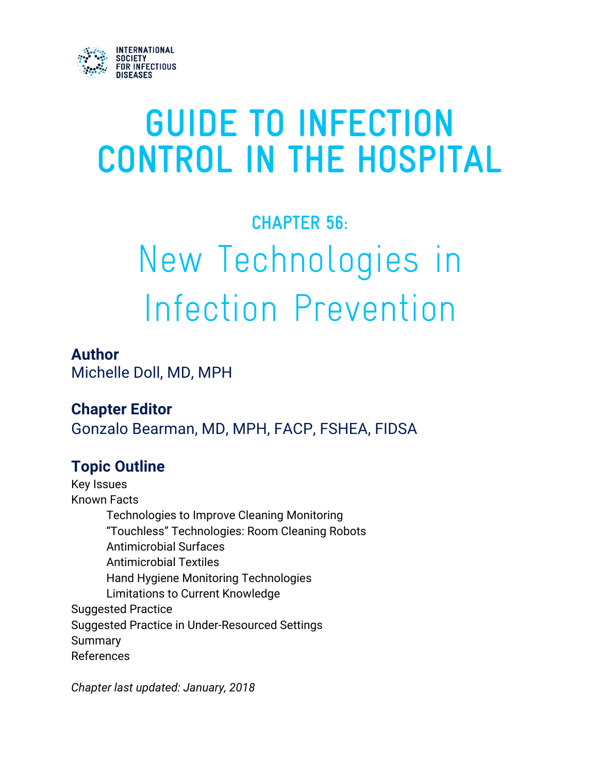

# **GUIDE TO INFECTION CONTROL IN THE HOSPITAL**

# **CHAPTER 56:** New Technologies in Infection Prevention

#### **Author**

Michelle Doll, MD, MPH

**Chapter Editor** Gonzalo Bearman, MD, MPH, FACP, FSHEA, FIDSA

#### **Topic Outline**

Key Issues Known Facts Technologies to Improve Cleaning Monitoring "Touchless" Technologies: Room Cleaning Robots Antimicrobial Surfaces Antimicrobial Textiles Hand Hygiene Monitoring Technologies Limitations to Current Knowledge Suggested Practice Suggested Practice in Under-Resourced Settings Summary References

*Chapter last updated: January, 2018*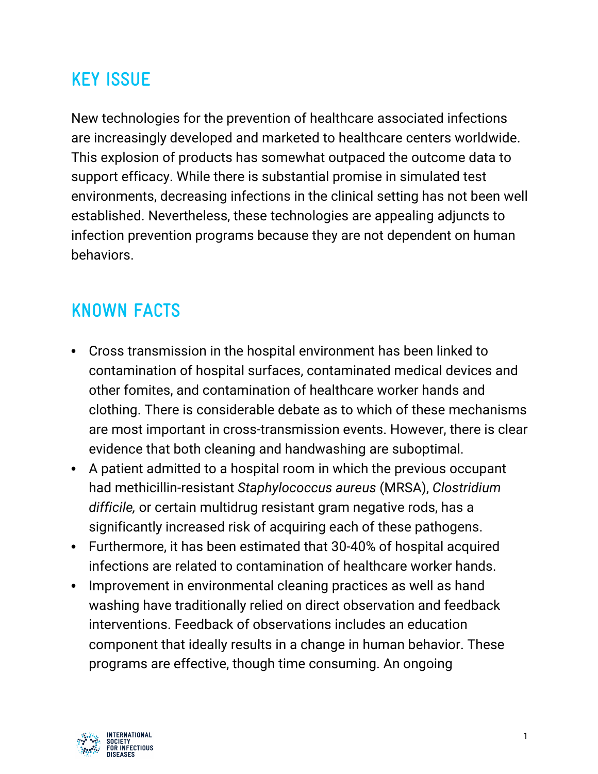#### **KEY ISSUE**

New technologies for the prevention of healthcare associated infections are increasingly developed and marketed to healthcare centers worldwide. This explosion of products has somewhat outpaced the outcome data to support efficacy. While there is substantial promise in simulated test environments, decreasing infections in the clinical setting has not been well established. Nevertheless, these technologies are appealing adjuncts to infection prevention programs because they are not dependent on human behaviors.

#### **KNOWN FACTS**

- Cross transmission in the hospital environment has been linked to contamination of hospital surfaces, contaminated medical devices and other fomites, and contamination of healthcare worker hands and clothing. There is considerable debate as to which of these mechanisms are most important in cross-transmission events. However, there is clear evidence that both cleaning and handwashing are suboptimal.
- A patient admitted to a hospital room in which the previous occupant had methicillin-resistant *Staphylococcus aureus* (MRSA), *Clostridium difficile,* or certain multidrug resistant gram negative rods, has a significantly increased risk of acquiring each of these pathogens.
- Furthermore, it has been estimated that 30-40% of hospital acquired infections are related to contamination of healthcare worker hands.
- Improvement in environmental cleaning practices as well as hand washing have traditionally relied on direct observation and feedback interventions. Feedback of observations includes an education component that ideally results in a change in human behavior. These programs are effective, though time consuming. An ongoing

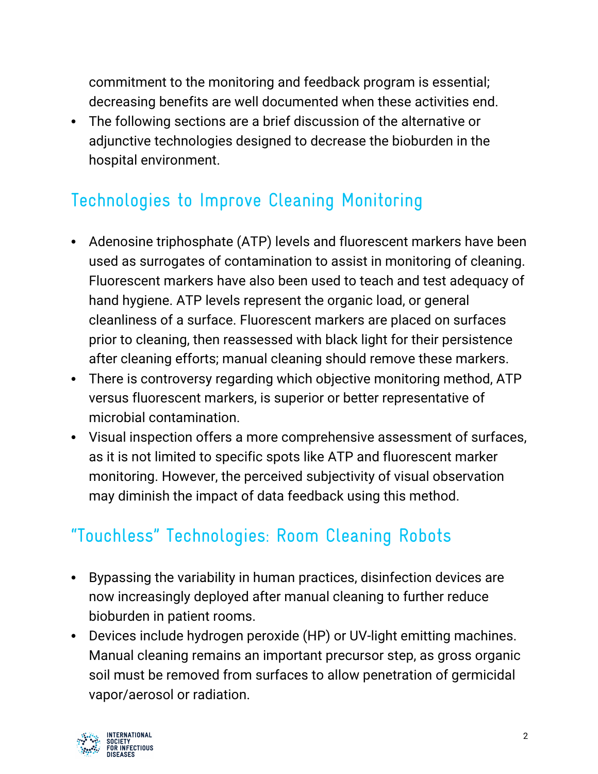commitment to the monitoring and feedback program is essential; decreasing benefits are well documented when these activities end.

• The following sections are a brief discussion of the alternative or adjunctive technologies designed to decrease the bioburden in the hospital environment.

### Technologies to Improve Cleaning Monitoring

- Adenosine triphosphate (ATP) levels and fluorescent markers have been used as surrogates of contamination to assist in monitoring of cleaning. Fluorescent markers have also been used to teach and test adequacy of hand hygiene. ATP levels represent the organic load, or general cleanliness of a surface. Fluorescent markers are placed on surfaces prior to cleaning, then reassessed with black light for their persistence after cleaning efforts; manual cleaning should remove these markers.
- There is controversy regarding which objective monitoring method, ATP versus fluorescent markers, is superior or better representative of microbial contamination.
- Visual inspection offers a more comprehensive assessment of surfaces, as it is not limited to specific spots like ATP and fluorescent marker monitoring. However, the perceived subjectivity of visual observation may diminish the impact of data feedback using this method.

## "Touchless" Technologies: Room Cleaning Robots

- Bypassing the variability in human practices, disinfection devices are now increasingly deployed after manual cleaning to further reduce bioburden in patient rooms.
- Devices include hydrogen peroxide (HP) or UV-light emitting machines. Manual cleaning remains an important precursor step, as gross organic soil must be removed from surfaces to allow penetration of germicidal vapor/aerosol or radiation.

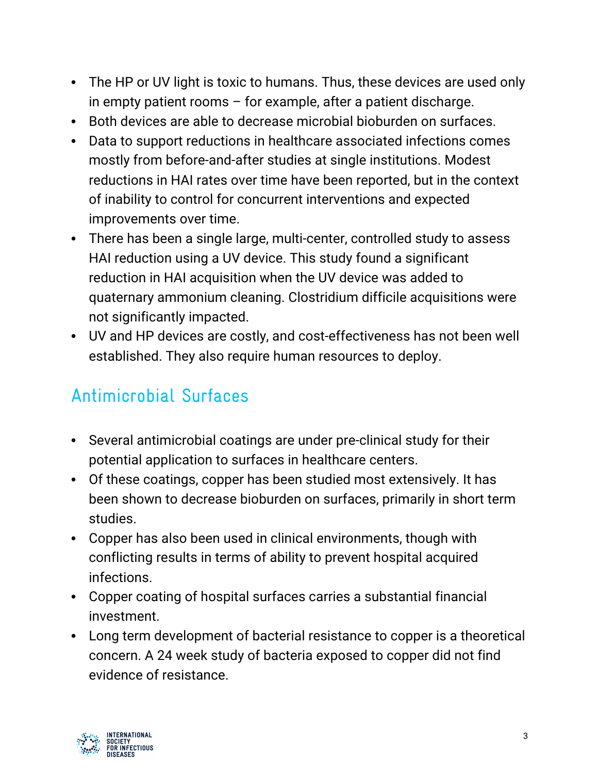- The HP or UV light is toxic to humans. Thus, these devices are used only in empty patient rooms – for example, after a patient discharge.
- Both devices are able to decrease microbial bioburden on surfaces.
- Data to support reductions in healthcare associated infections comes mostly from before-and-after studies at single institutions. Modest reductions in HAI rates over time have been reported, but in the context of inability to control for concurrent interventions and expected improvements over time.
- There has been a single large, multi-center, controlled study to assess HAI reduction using a UV device. This study found a significant reduction in HAI acquisition when the UV device was added to quaternary ammonium cleaning. Clostridium difficile acquisitions were not significantly impacted.
- UV and HP devices are costly, and cost-effectiveness has not been well established. They also require human resources to deploy.

# Antimicrobial Surfaces

- Several antimicrobial coatings are under pre-clinical study for their potential application to surfaces in healthcare centers.
- Of these coatings, copper has been studied most extensively. It has been shown to decrease bioburden on surfaces, primarily in short term studies.
- Copper has also been used in clinical environments, though with conflicting results in terms of ability to prevent hospital acquired infections.
- Copper coating of hospital surfaces carries a substantial financial investment.
- Long term development of bacterial resistance to copper is a theoretical concern. A 24 week study of bacteria exposed to copper did not find evidence of resistance.

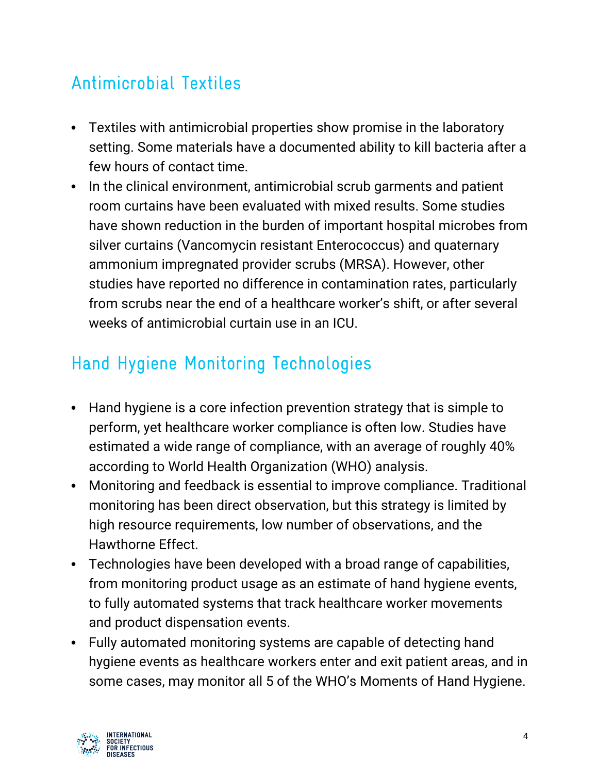# Antimicrobial Textiles

- Textiles with antimicrobial properties show promise in the laboratory setting. Some materials have a documented ability to kill bacteria after a few hours of contact time.
- In the clinical environment, antimicrobial scrub garments and patient room curtains have been evaluated with mixed results. Some studies have shown reduction in the burden of important hospital microbes from silver curtains (Vancomycin resistant Enterococcus) and quaternary ammonium impregnated provider scrubs (MRSA). However, other studies have reported no difference in contamination rates, particularly from scrubs near the end of a healthcare worker's shift, or after several weeks of antimicrobial curtain use in an ICU.

# Hand Hygiene Monitoring Technologies

- Hand hygiene is a core infection prevention strategy that is simple to perform, yet healthcare worker compliance is often low. Studies have estimated a wide range of compliance, with an average of roughly 40% according to World Health Organization (WHO) analysis.
- Monitoring and feedback is essential to improve compliance. Traditional monitoring has been direct observation, but this strategy is limited by high resource requirements, low number of observations, and the Hawthorne Effect.
- Technologies have been developed with a broad range of capabilities, from monitoring product usage as an estimate of hand hygiene events, to fully automated systems that track healthcare worker movements and product dispensation events.
- Fully automated monitoring systems are capable of detecting hand hygiene events as healthcare workers enter and exit patient areas, and in some cases, may monitor all 5 of the WHO's Moments of Hand Hygiene.

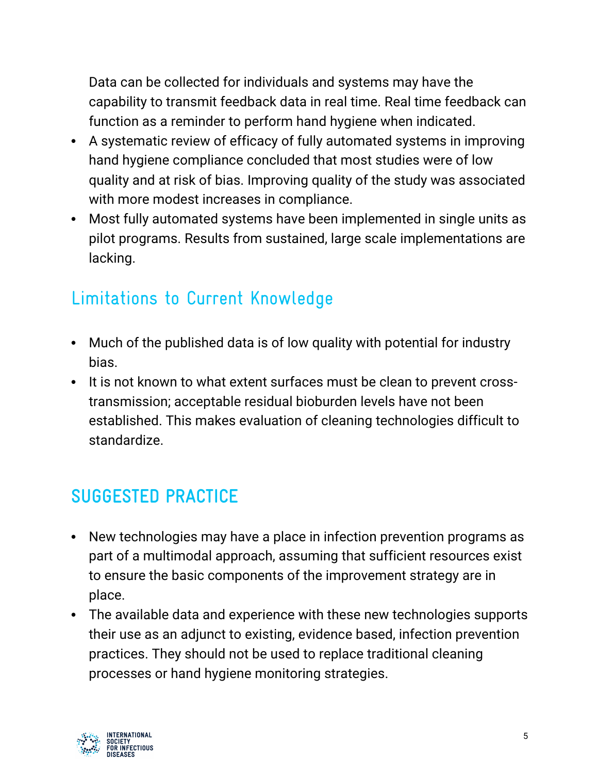Data can be collected for individuals and systems may have the capability to transmit feedback data in real time. Real time feedback can function as a reminder to perform hand hygiene when indicated.

- A systematic review of efficacy of fully automated systems in improving hand hygiene compliance concluded that most studies were of low quality and at risk of bias. Improving quality of the study was associated with more modest increases in compliance.
- Most fully automated systems have been implemented in single units as pilot programs. Results from sustained, large scale implementations are lacking.

## Limitations to Current Knowledge

- Much of the published data is of low quality with potential for industry bias.
- It is not known to what extent surfaces must be clean to prevent crosstransmission; acceptable residual bioburden levels have not been established. This makes evaluation of cleaning technologies difficult to standardize.

# **SUGGESTED PRACTICE**

- New technologies may have a place in infection prevention programs as part of a multimodal approach, assuming that sufficient resources exist to ensure the basic components of the improvement strategy are in place.
- The available data and experience with these new technologies supports their use as an adjunct to existing, evidence based, infection prevention practices. They should not be used to replace traditional cleaning processes or hand hygiene monitoring strategies.

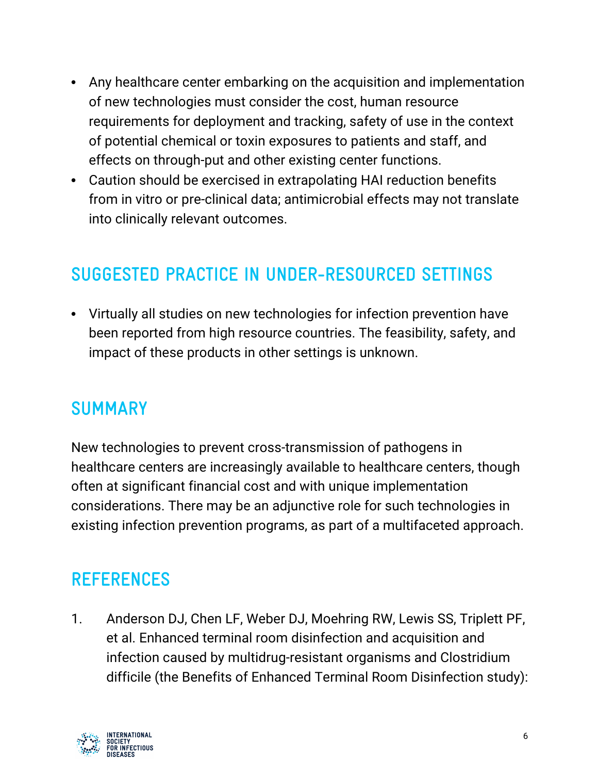- Any healthcare center embarking on the acquisition and implementation of new technologies must consider the cost, human resource requirements for deployment and tracking, safety of use in the context of potential chemical or toxin exposures to patients and staff, and effects on through-put and other existing center functions.
- Caution should be exercised in extrapolating HAI reduction benefits from in vitro or pre-clinical data; antimicrobial effects may not translate into clinically relevant outcomes.

#### **SUGGESTED PRACTICE IN UNDER-RESOURCED SETTINGS**

• Virtually all studies on new technologies for infection prevention have been reported from high resource countries. The feasibility, safety, and impact of these products in other settings is unknown.

#### **SUMMARY**

New technologies to prevent cross-transmission of pathogens in healthcare centers are increasingly available to healthcare centers, though often at significant financial cost and with unique implementation considerations. There may be an adjunctive role for such technologies in existing infection prevention programs, as part of a multifaceted approach.

#### **REFERENCES**

1. Anderson DJ, Chen LF, Weber DJ, Moehring RW, Lewis SS, Triplett PF, et al. Enhanced terminal room disinfection and acquisition and infection caused by multidrug-resistant organisms and Clostridium difficile (the Benefits of Enhanced Terminal Room Disinfection study):

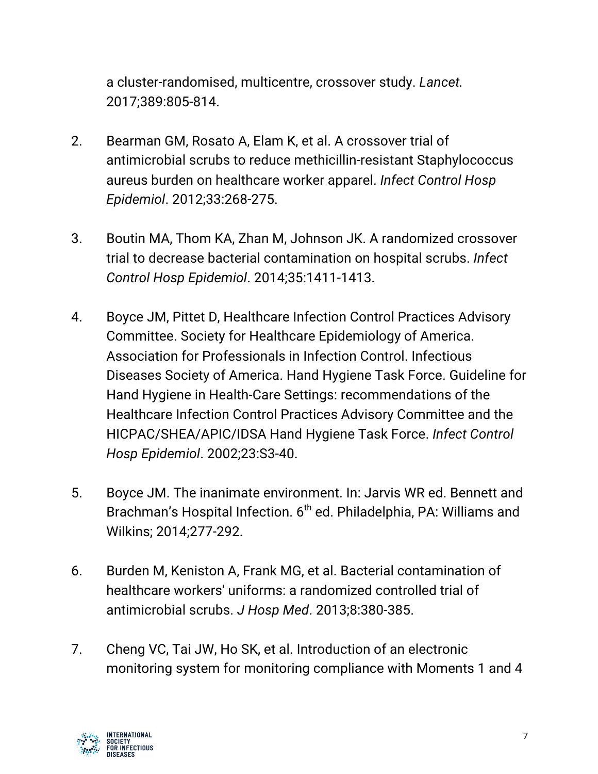a cluster-randomised, multicentre, crossover study. *Lancet.* 2017;389:805-814.

- 2. Bearman GM, Rosato A, Elam K, et al. A crossover trial of antimicrobial scrubs to reduce methicillin-resistant Staphylococcus aureus burden on healthcare worker apparel. *Infect Control Hosp Epidemiol*. 2012;33:268-275.
- 3. Boutin MA, Thom KA, Zhan M, Johnson JK. A randomized crossover trial to decrease bacterial contamination on hospital scrubs. *Infect Control Hosp Epidemiol*. 2014;35:1411-1413.
- 4. Boyce JM, Pittet D, Healthcare Infection Control Practices Advisory Committee. Society for Healthcare Epidemiology of America. Association for Professionals in Infection Control. Infectious Diseases Society of America. Hand Hygiene Task Force. Guideline for Hand Hygiene in Health-Care Settings: recommendations of the Healthcare Infection Control Practices Advisory Committee and the HICPAC/SHEA/APIC/IDSA Hand Hygiene Task Force. *Infect Control Hosp Epidemiol*. 2002;23:S3-40.
- 5. Boyce JM. The inanimate environment. In: Jarvis WR ed. Bennett and Brachman's Hospital Infection. 6<sup>th</sup> ed. Philadelphia, PA: Williams and Wilkins; 2014;277-292.
- 6. Burden M, Keniston A, Frank MG, et al. Bacterial contamination of healthcare workers' uniforms: a randomized controlled trial of antimicrobial scrubs. *J Hosp Med*. 2013;8:380-385.
- 7. Cheng VC, Tai JW, Ho SK, et al. Introduction of an electronic monitoring system for monitoring compliance with Moments 1 and 4

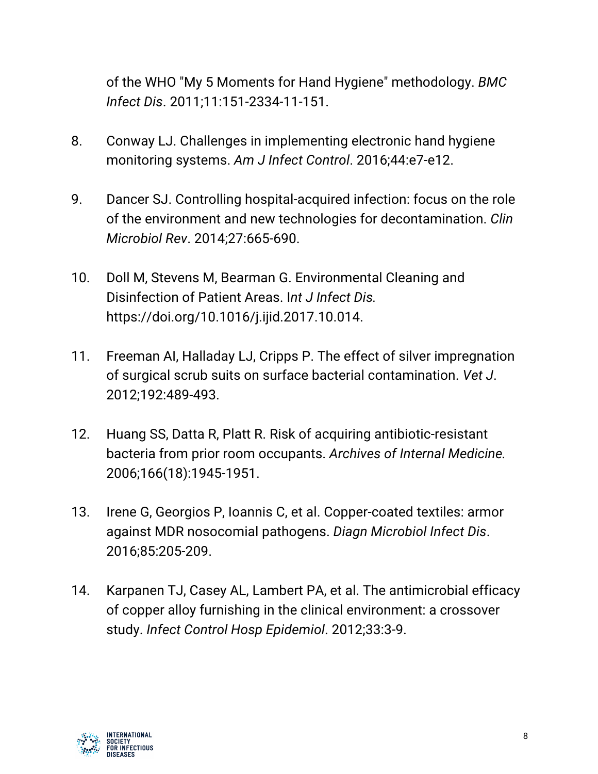of the WHO "My 5 Moments for Hand Hygiene" methodology. *BMC Infect Dis*. 2011;11:151-2334-11-151.

- 8. Conway LJ. Challenges in implementing electronic hand hygiene monitoring systems. *Am J Infect Control*. 2016;44:e7-e12.
- 9. Dancer SJ. Controlling hospital-acquired infection: focus on the role of the environment and new technologies for decontamination. *Clin Microbiol Rev*. 2014;27:665-690.
- 10. Doll M, Stevens M, Bearman G. Environmental Cleaning and Disinfection of Patient Areas. I*nt J Infect Dis.* https://doi.org/10.1016/j.ijid.2017.10.014.
- 11. Freeman AI, Halladay LJ, Cripps P. The effect of silver impregnation of surgical scrub suits on surface bacterial contamination. *Vet J*. 2012;192:489-493.
- 12. Huang SS, Datta R, Platt R. Risk of acquiring antibiotic-resistant bacteria from prior room occupants. *Archives of Internal Medicine.* 2006;166(18):1945-1951.
- 13. Irene G, Georgios P, Ioannis C, et al. Copper-coated textiles: armor against MDR nosocomial pathogens. *Diagn Microbiol Infect Dis*. 2016;85:205-209.
- 14. Karpanen TJ, Casey AL, Lambert PA, et al. The antimicrobial efficacy of copper alloy furnishing in the clinical environment: a crossover study. *Infect Control Hosp Epidemiol*. 2012;33:3-9.

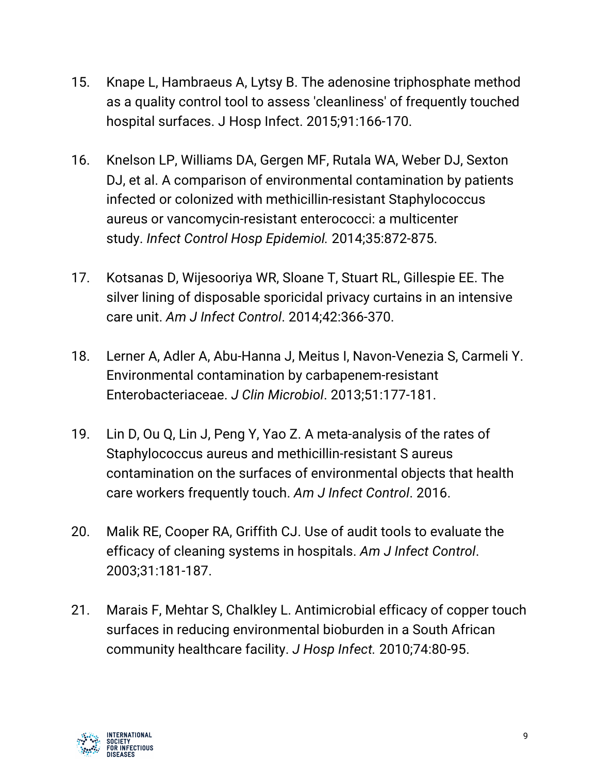- 15. Knape L, Hambraeus A, Lytsy B. The adenosine triphosphate method as a quality control tool to assess 'cleanliness' of frequently touched hospital surfaces. J Hosp Infect. 2015;91:166-170.
- 16. Knelson LP, Williams DA, Gergen MF, Rutala WA, Weber DJ, Sexton DJ, et al. A comparison of environmental contamination by patients infected or colonized with methicillin-resistant Staphylococcus aureus or vancomycin-resistant enterococci: a multicenter study. *Infect Control Hosp Epidemiol.* 2014;35:872-875.
- 17. Kotsanas D, Wijesooriya WR, Sloane T, Stuart RL, Gillespie EE. The silver lining of disposable sporicidal privacy curtains in an intensive care unit. *Am J Infect Control*. 2014;42:366-370.
- 18. Lerner A, Adler A, Abu-Hanna J, Meitus I, Navon-Venezia S, Carmeli Y. Environmental contamination by carbapenem-resistant Enterobacteriaceae. *J Clin Microbiol*. 2013;51:177-181.
- 19. Lin D, Ou Q, Lin J, Peng Y, Yao Z. A meta-analysis of the rates of Staphylococcus aureus and methicillin-resistant S aureus contamination on the surfaces of environmental objects that health care workers frequently touch. *Am J Infect Control*. 2016.
- 20. Malik RE, Cooper RA, Griffith CJ. Use of audit tools to evaluate the efficacy of cleaning systems in hospitals. *Am J Infect Control*. 2003;31:181-187.
- 21. Marais F, Mehtar S, Chalkley L. Antimicrobial efficacy of copper touch surfaces in reducing environmental bioburden in a South African community healthcare facility. *J Hosp Infect.* 2010;74:80-95.

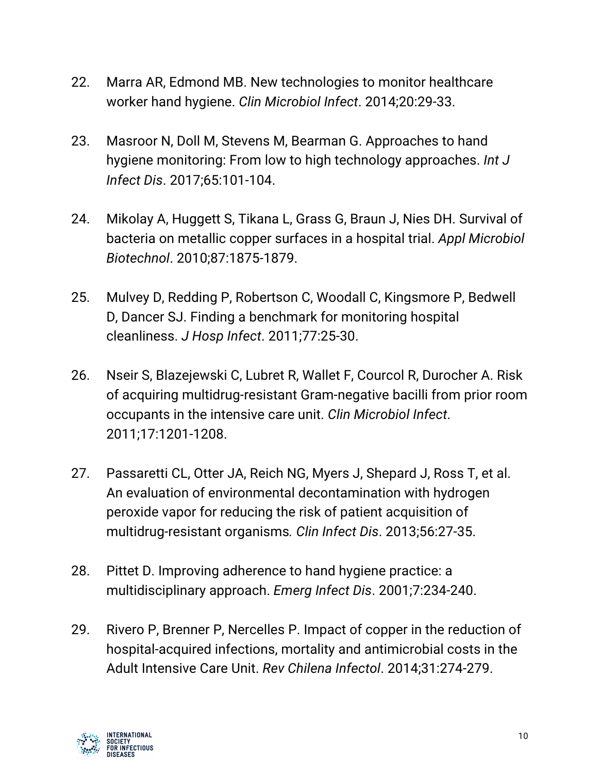- 22. Marra AR, Edmond MB. New technologies to monitor healthcare worker hand hygiene. *Clin Microbiol Infect*. 2014;20:29-33.
- 23. Masroor N, Doll M, Stevens M, Bearman G. Approaches to hand hygiene monitoring: From low to high technology approaches. *Int J Infect Dis*. 2017;65:101-104.
- 24. Mikolay A, Huggett S, Tikana L, Grass G, Braun J, Nies DH. Survival of bacteria on metallic copper surfaces in a hospital trial. *Appl Microbiol Biotechnol*. 2010;87:1875-1879.
- 25. Mulvey D, Redding P, Robertson C, Woodall C, Kingsmore P, Bedwell D, Dancer SJ. Finding a benchmark for monitoring hospital cleanliness. *J Hosp Infect*. 2011;77:25-30.
- 26. Nseir S, Blazejewski C, Lubret R, Wallet F, Courcol R, Durocher A. Risk of acquiring multidrug-resistant Gram-negative bacilli from prior room occupants in the intensive care unit. *Clin Microbiol Infect*. 2011;17:1201-1208.
- 27. Passaretti CL, Otter JA, Reich NG, Myers J, Shepard J, Ross T, et al. An evaluation of environmental decontamination with hydrogen peroxide vapor for reducing the risk of patient acquisition of multidrug-resistant organisms*. Clin Infect Dis*. 2013;56:27-35.
- 28. Pittet D. Improving adherence to hand hygiene practice: a multidisciplinary approach. *Emerg Infect Dis*. 2001;7:234-240.
- 29. Rivero P, Brenner P, Nercelles P. Impact of copper in the reduction of hospital-acquired infections, mortality and antimicrobial costs in the Adult Intensive Care Unit. *Rev Chilena Infectol*. 2014;31:274-279.

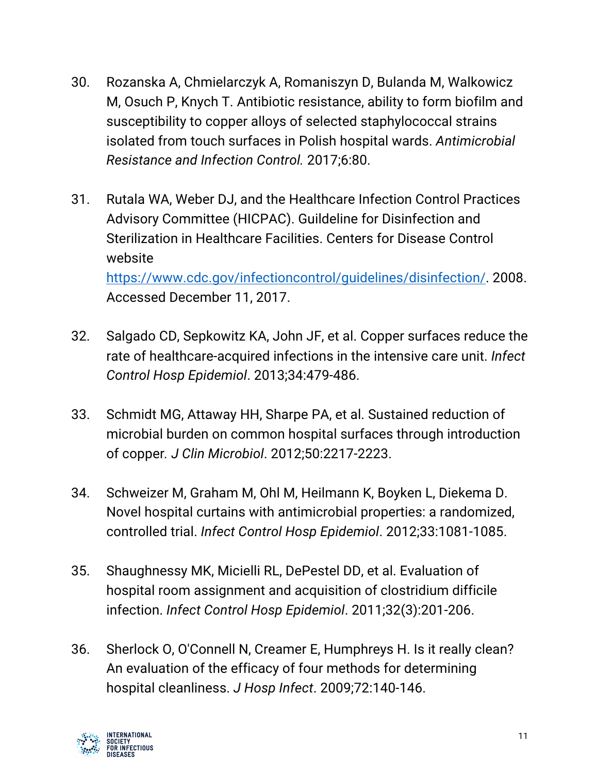- 30. Rozanska A, Chmielarczyk A, Romaniszyn D, Bulanda M, Walkowicz M, Osuch P, Knych T. Antibiotic resistance, ability to form biofilm and susceptibility to copper alloys of selected staphylococcal strains isolated from touch surfaces in Polish hospital wards. *Antimicrobial Resistance and Infection Control.* 2017;6:80.
- 31. Rutala WA, Weber DJ, and the Healthcare Infection Control Practices Advisory Committee (HICPAC). Guildeline for Disinfection and Sterilization in Healthcare Facilities. Centers for Disease Control website https://www.cdc.gov/infectioncontrol/guidelines/disinfection/. 2008. Accessed December 11, 2017.
- 32. Salgado CD, Sepkowitz KA, John JF, et al. Copper surfaces reduce the rate of healthcare-acquired infections in the intensive care unit. *Infect Control Hosp Epidemiol*. 2013;34:479-486.
- 33. Schmidt MG, Attaway HH, Sharpe PA, et al. Sustained reduction of microbial burden on common hospital surfaces through introduction of copper*. J Clin Microbiol*. 2012;50:2217-2223.
- 34. Schweizer M, Graham M, Ohl M, Heilmann K, Boyken L, Diekema D. Novel hospital curtains with antimicrobial properties: a randomized, controlled trial. *Infect Control Hosp Epidemiol*. 2012;33:1081-1085.
- 35. Shaughnessy MK, Micielli RL, DePestel DD, et al. Evaluation of hospital room assignment and acquisition of clostridium difficile infection. *Infect Control Hosp Epidemiol*. 2011;32(3):201-206.
- 36. Sherlock O, O'Connell N, Creamer E, Humphreys H. Is it really clean? An evaluation of the efficacy of four methods for determining hospital cleanliness. *J Hosp Infect*. 2009;72:140-146.

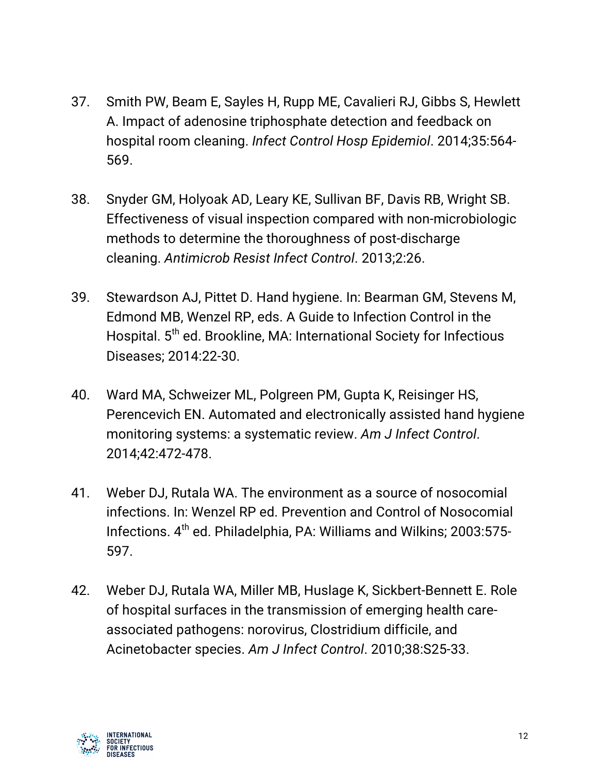- 37. Smith PW, Beam E, Sayles H, Rupp ME, Cavalieri RJ, Gibbs S, Hewlett A. Impact of adenosine triphosphate detection and feedback on hospital room cleaning. *Infect Control Hosp Epidemiol*. 2014;35:564- 569.
- 38. Snyder GM, Holyoak AD, Leary KE, Sullivan BF, Davis RB, Wright SB. Effectiveness of visual inspection compared with non-microbiologic methods to determine the thoroughness of post-discharge cleaning. *Antimicrob Resist Infect Control*. 2013;2:26.
- 39. Stewardson AJ, Pittet D. Hand hygiene. In: Bearman GM, Stevens M, Edmond MB, Wenzel RP, eds. A Guide to Infection Control in the Hospital. 5<sup>th</sup> ed. Brookline, MA: International Society for Infectious Diseases; 2014:22-30.
- 40. Ward MA, Schweizer ML, Polgreen PM, Gupta K, Reisinger HS, Perencevich EN. Automated and electronically assisted hand hygiene monitoring systems: a systematic review. *Am J Infect Control*. 2014;42:472-478.
- 41. Weber DJ, Rutala WA. The environment as a source of nosocomial infections. In: Wenzel RP ed. Prevention and Control of Nosocomial Infections. 4th ed. Philadelphia, PA: Williams and Wilkins; 2003:575- 597.
- 42. Weber DJ, Rutala WA, Miller MB, Huslage K, Sickbert-Bennett E. Role of hospital surfaces in the transmission of emerging health careassociated pathogens: norovirus, Clostridium difficile, and Acinetobacter species. *Am J Infect Control*. 2010;38:S25-33.